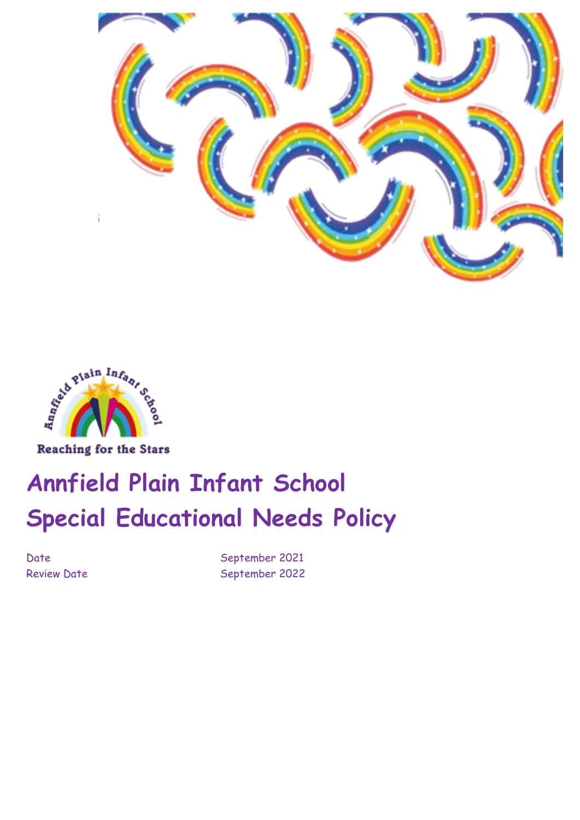



# **Annfield Plain Infant School Special Educational Needs Policy**

Date September 2021 Review Date September 2022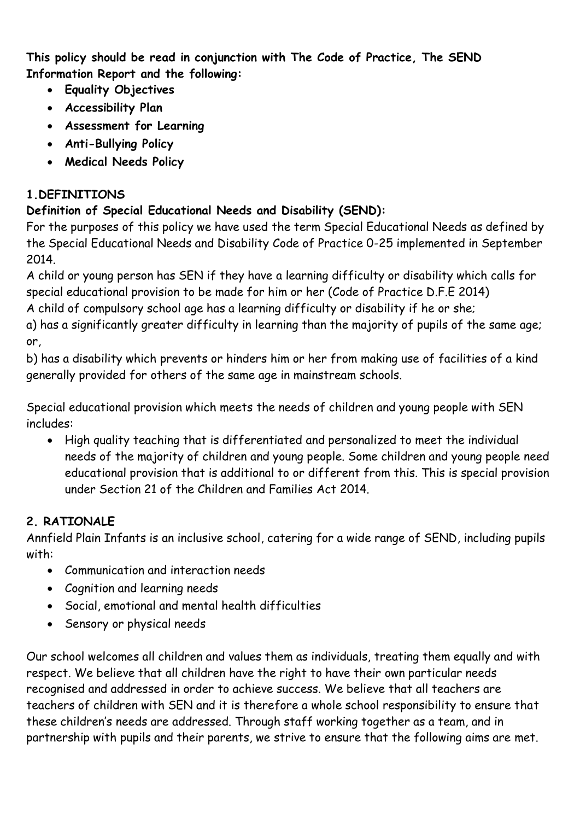**This policy should be read in conjunction with The Code of Practice, The SEND Information Report and the following:** 

- **Equality Objectives**
- **Accessibility Plan**
- **Assessment for Learning**
- **Anti-Bullying Policy**
- **Medical Needs Policy**

# **1.DEFINITIONS**

# **Definition of Special Educational Needs and Disability (SEND):**

For the purposes of this policy we have used the term Special Educational Needs as defined by the Special Educational Needs and Disability Code of Practice 0-25 implemented in September 2014.

A child or young person has SEN if they have a learning difficulty or disability which calls for special educational provision to be made for him or her (Code of Practice D.F.E 2014) A child of compulsory school age has a learning difficulty or disability if he or she;

a) has a significantly greater difficulty in learning than the majority of pupils of the same age; or,

b) has a disability which prevents or hinders him or her from making use of facilities of a kind generally provided for others of the same age in mainstream schools.

Special educational provision which meets the needs of children and young people with SEN includes:

• High quality teaching that is differentiated and personalized to meet the individual needs of the majority of children and young people. Some children and young people need educational provision that is additional to or different from this. This is special provision under Section 21 of the Children and Families Act 2014.

# **2. RATIONALE**

Annfield Plain Infants is an inclusive school, catering for a wide range of SEND, including pupils with:

- Communication and interaction needs
- Cognition and learning needs
- Social, emotional and mental health difficulties
- Sensory or physical needs

Our school welcomes all children and values them as individuals, treating them equally and with respect. We believe that all children have the right to have their own particular needs recognised and addressed in order to achieve success. We believe that all teachers are teachers of children with SEN and it is therefore a whole school responsibility to ensure that these children's needs are addressed. Through staff working together as a team, and in partnership with pupils and their parents, we strive to ensure that the following aims are met.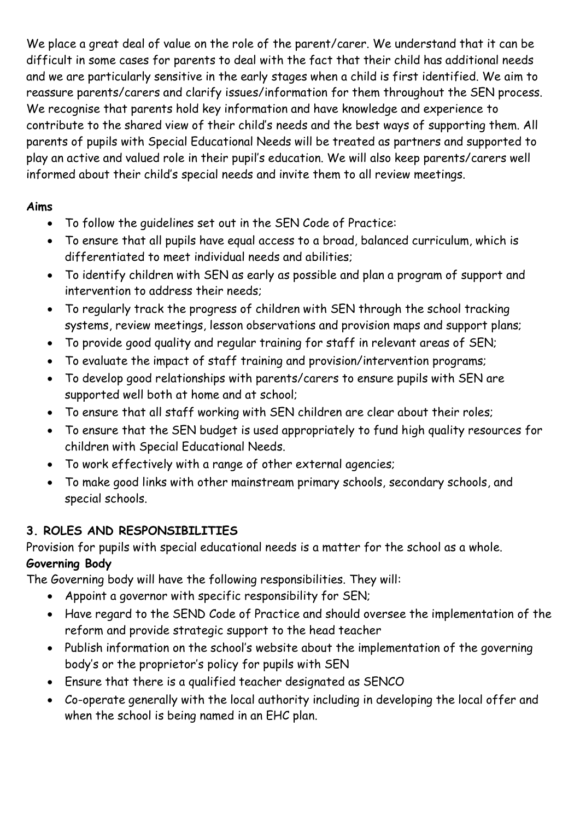We place a great deal of value on the role of the parent/carer. We understand that it can be difficult in some cases for parents to deal with the fact that their child has additional needs and we are particularly sensitive in the early stages when a child is first identified. We aim to reassure parents/carers and clarify issues/information for them throughout the SEN process. We recognise that parents hold key information and have knowledge and experience to contribute to the shared view of their child's needs and the best ways of supporting them. All parents of pupils with Special Educational Needs will be treated as partners and supported to play an active and valued role in their pupil's education. We will also keep parents/carers well informed about their child's special needs and invite them to all review meetings.

#### **Aims**

- To follow the guidelines set out in the SEN Code of Practice:
- To ensure that all pupils have equal access to a broad, balanced curriculum, which is differentiated to meet individual needs and abilities;
- To identify children with SEN as early as possible and plan a program of support and intervention to address their needs;
- To regularly track the progress of children with SEN through the school tracking systems, review meetings, lesson observations and provision maps and support plans;
- To provide good quality and regular training for staff in relevant areas of SEN;
- To evaluate the impact of staff training and provision/intervention programs;
- To develop good relationships with parents/carers to ensure pupils with SEN are supported well both at home and at school;
- To ensure that all staff working with SEN children are clear about their roles;
- To ensure that the SEN budget is used appropriately to fund high quality resources for children with Special Educational Needs.
- To work effectively with a range of other external agencies;
- To make good links with other mainstream primary schools, secondary schools, and special schools.

# **3. ROLES AND RESPONSIBILITIES**

Provision for pupils with special educational needs is a matter for the school as a whole. **Governing Body** 

The Governing body will have the following responsibilities. They will:

- Appoint a governor with specific responsibility for SEN;
- Have regard to the SEND Code of Practice and should oversee the implementation of the reform and provide strategic support to the head teacher
- Publish information on the school's website about the implementation of the governing body's or the proprietor's policy for pupils with SEN
- Ensure that there is a qualified teacher designated as SENCO
- Co-operate generally with the local authority including in developing the local offer and when the school is being named in an EHC plan.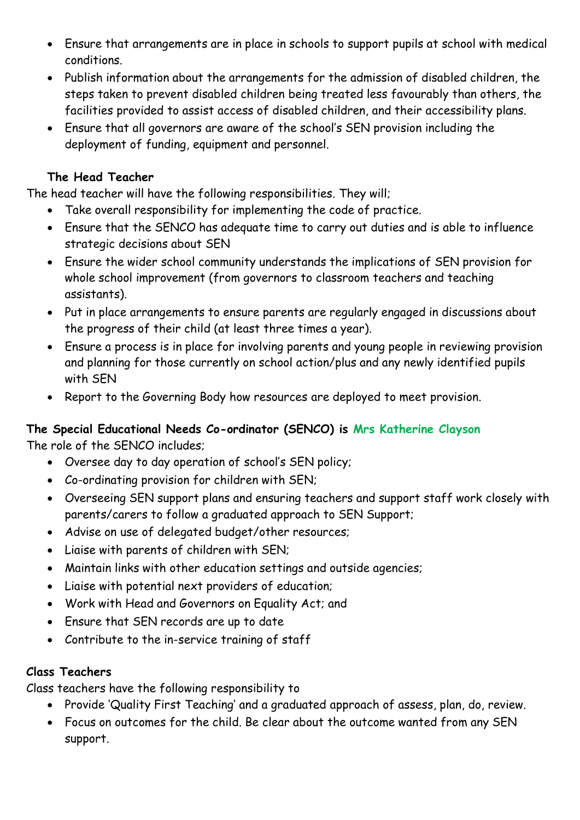- Ensure that arrangements are in place in schools to support pupils at school with medical conditions.
- Publish information about the arrangements for the admission of disabled children, the steps taken to prevent disabled children being treated less favourably than others, the facilities provided to assist access of disabled children, and their accessibility plans.
- Ensure that all governors are aware of the school's SEN provision including the deployment of funding, equipment and personnel.

#### **The Head Teacher**

The head teacher will have the following responsibilities. They will;

- Take overall responsibility for implementing the code of practice.
- Ensure that the SENCO has adequate time to carry out duties and is able to influence strategic decisions about SEN
- Ensure the wider school community understands the implications of SEN provision for whole school improvement (from governors to classroom teachers and teaching assistants).
- Put in place arrangements to ensure parents are regularly engaged in discussions about the progress of their child (at least three times a year).
- Ensure a process is in place for involving parents and young people in reviewing provision and planning for those currently on school action/plus and any newly identified pupils with SEN
- Report to the Governing Body how resources are deployed to meet provision.

# **The Special Educational Needs Co-ordinator (SENCO) is Mrs Katherine Clayson**

The role of the SENCO includes;

- Oversee day to day operation of school's SEN policy;
- Co-ordinating provision for children with SEN;
- Overseeing SEN support plans and ensuring teachers and support staff work closely with parents/carers to follow a graduated approach to SEN Support;
- Advise on use of delegated budget/other resources;
- Liaise with parents of children with SEN;
- Maintain links with other education settings and outside agencies;
- Liaise with potential next providers of education;
- Work with Head and Governors on Equality Act; and
- Ensure that SEN records are up to date
- Contribute to the in-service training of staff

#### **Class Teachers**

Class teachers have the following responsibility to

- Provide 'Quality First Teaching' and a graduated approach of assess, plan, do, review.
- Focus on outcomes for the child. Be clear about the outcome wanted from any SEN support.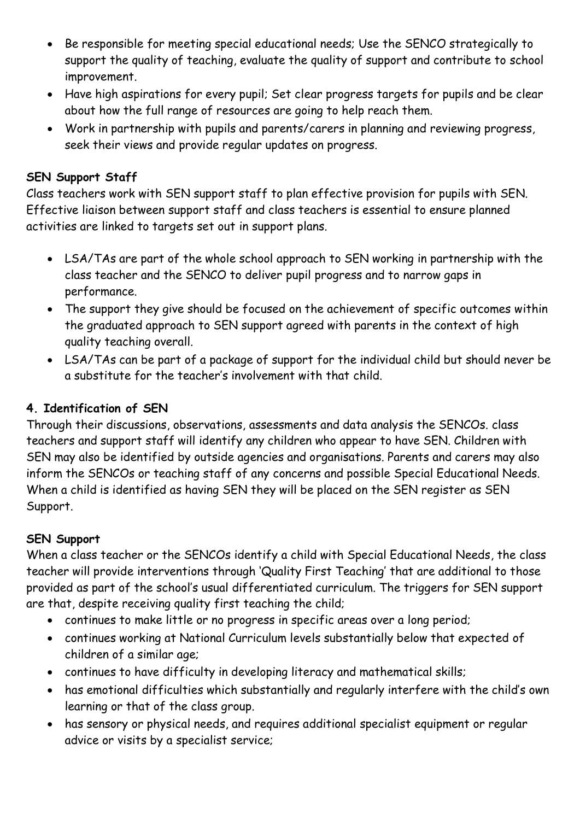- Be responsible for meeting special educational needs; Use the SENCO strategically to support the quality of teaching, evaluate the quality of support and contribute to school improvement.
- Have high aspirations for every pupil; Set clear progress targets for pupils and be clear about how the full range of resources are going to help reach them.
- Work in partnership with pupils and parents/carers in planning and reviewing progress, seek their views and provide regular updates on progress.

#### **SEN Support Staff**

Class teachers work with SEN support staff to plan effective provision for pupils with SEN. Effective liaison between support staff and class teachers is essential to ensure planned activities are linked to targets set out in support plans.

- LSA/TAs are part of the whole school approach to SEN working in partnership with the class teacher and the SENCO to deliver pupil progress and to narrow gaps in performance.
- The support they give should be focused on the achievement of specific outcomes within the graduated approach to SEN support agreed with parents in the context of high quality teaching overall.
- LSA/TAs can be part of a package of support for the individual child but should never be a substitute for the teacher's involvement with that child.

#### **4. Identification of SEN**

Through their discussions, observations, assessments and data analysis the SENCOs. class teachers and support staff will identify any children who appear to have SEN. Children with SEN may also be identified by outside agencies and organisations. Parents and carers may also inform the SENCOs or teaching staff of any concerns and possible Special Educational Needs. When a child is identified as having SEN they will be placed on the SEN register as SEN Support.

#### **SEN Support**

When a class teacher or the SENCOs identify a child with Special Educational Needs, the class teacher will provide interventions through 'Quality First Teaching' that are additional to those provided as part of the school's usual differentiated curriculum. The triggers for SEN support are that, despite receiving quality first teaching the child;

- continues to make little or no progress in specific areas over a long period;
- continues working at National Curriculum levels substantially below that expected of children of a similar age;
- continues to have difficulty in developing literacy and mathematical skills;
- has emotional difficulties which substantially and regularly interfere with the child's own learning or that of the class group.
- has sensory or physical needs, and requires additional specialist equipment or regular advice or visits by a specialist service;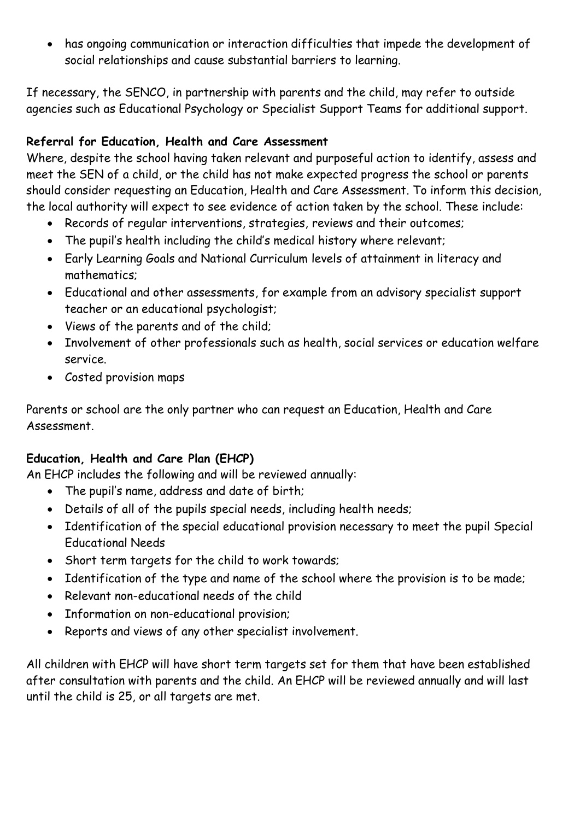• has ongoing communication or interaction difficulties that impede the development of social relationships and cause substantial barriers to learning.

If necessary, the SENCO, in partnership with parents and the child, may refer to outside agencies such as Educational Psychology or Specialist Support Teams for additional support.

#### **Referral for Education, Health and Care Assessment**

Where, despite the school having taken relevant and purposeful action to identify, assess and meet the SEN of a child, or the child has not make expected progress the school or parents should consider requesting an Education, Health and Care Assessment. To inform this decision, the local authority will expect to see evidence of action taken by the school. These include:

- Records of regular interventions, strategies, reviews and their outcomes;
- The pupil's health including the child's medical history where relevant;
- Early Learning Goals and National Curriculum levels of attainment in literacy and mathematics;
- Educational and other assessments, for example from an advisory specialist support teacher or an educational psychologist;
- Views of the parents and of the child;
- Involvement of other professionals such as health, social services or education welfare service.
- Costed provision maps

Parents or school are the only partner who can request an Education, Health and Care Assessment.

# **Education, Health and Care Plan (EHCP)**

An EHCP includes the following and will be reviewed annually:

- The pupil's name, address and date of birth;
- Details of all of the pupils special needs, including health needs;
- Identification of the special educational provision necessary to meet the pupil Special Educational Needs
- Short term targets for the child to work towards;
- Identification of the type and name of the school where the provision is to be made;
- Relevant non-educational needs of the child
- Information on non-educational provision;
- Reports and views of any other specialist involvement.

All children with EHCP will have short term targets set for them that have been established after consultation with parents and the child. An EHCP will be reviewed annually and will last until the child is 25, or all targets are met.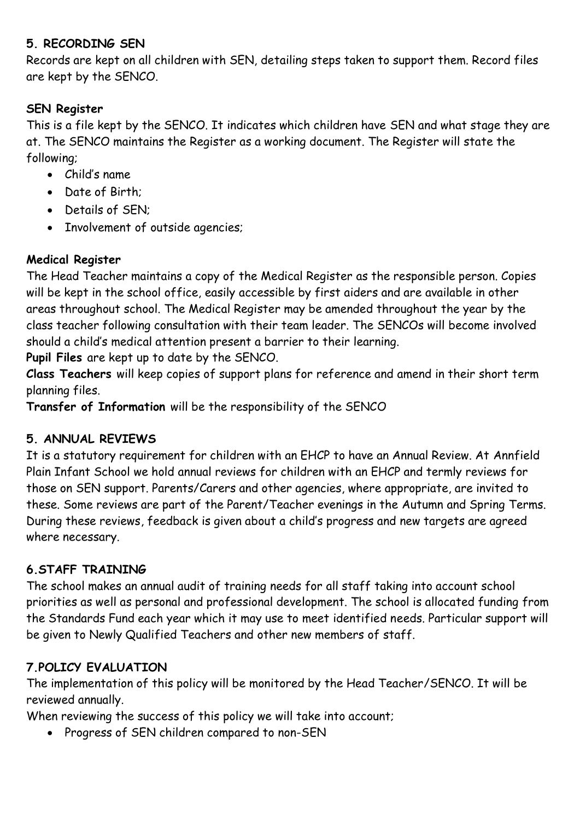#### **5. RECORDING SEN**

Records are kept on all children with SEN, detailing steps taken to support them. Record files are kept by the SENCO.

#### **SEN Register**

This is a file kept by the SENCO. It indicates which children have SEN and what stage they are at. The SENCO maintains the Register as a working document. The Register will state the following;

- Child's name
- Date of Birth;
- Details of SEN;
- Involvement of outside agencies;

# **Medical Register**

The Head Teacher maintains a copy of the Medical Register as the responsible person. Copies will be kept in the school office, easily accessible by first aiders and are available in other areas throughout school. The Medical Register may be amended throughout the year by the class teacher following consultation with their team leader. The SENCOs will become involved should a child's medical attention present a barrier to their learning.

**Pupil Files** are kept up to date by the SENCO.

**Class Teachers** will keep copies of support plans for reference and amend in their short term planning files.

**Transfer of Information** will be the responsibility of the SENCO

# **5. ANNUAL REVIEWS**

It is a statutory requirement for children with an EHCP to have an Annual Review. At Annfield Plain Infant School we hold annual reviews for children with an EHCP and termly reviews for those on SEN support. Parents/Carers and other agencies, where appropriate, are invited to these. Some reviews are part of the Parent/Teacher evenings in the Autumn and Spring Terms. During these reviews, feedback is given about a child's progress and new targets are agreed where necessary.

# **6.STAFF TRAINING**

The school makes an annual audit of training needs for all staff taking into account school priorities as well as personal and professional development. The school is allocated funding from the Standards Fund each year which it may use to meet identified needs. Particular support will be given to Newly Qualified Teachers and other new members of staff.

# **7.POLICY EVALUATION**

The implementation of this policy will be monitored by the Head Teacher/SENCO. It will be reviewed annually.

When reviewing the success of this policy we will take into account;

• Progress of SEN children compared to non-SEN